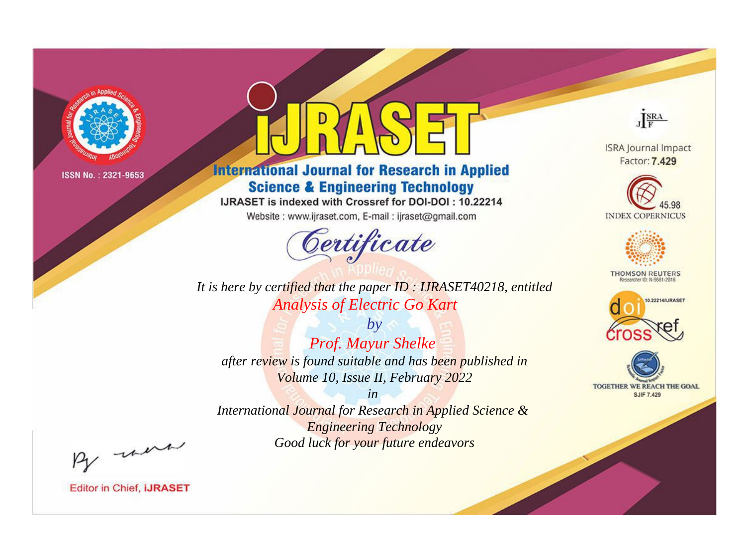

# **International Journal for Research in Applied Science & Engineering Technology**

IJRASET is indexed with Crossref for DOI-DOI: 10.22214

Website: www.ijraset.com, E-mail: ijraset@gmail.com



JERA

**ISRA Journal Impact** Factor: 7.429





**THOMSON REUTERS** 



TOGETHER WE REACH THE GOAL **SJIF 7.429** 

It is here by certified that the paper ID: IJRASET40218, entitled **Analysis of Electric Go Kart** 

 $by$ Prof. Mayur Shelke after review is found suitable and has been published in Volume 10, Issue II, February 2022

 $in$ International Journal for Research in Applied Science & **Engineering Technology** Good luck for your future endeavors

By morn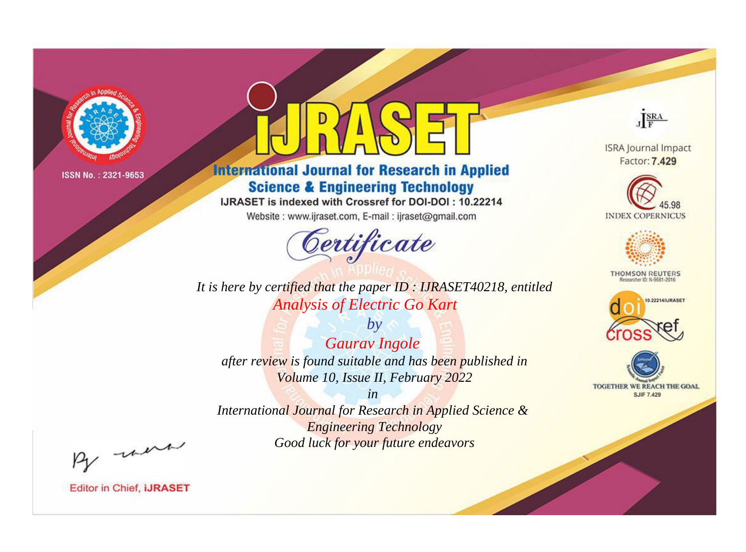

# **International Journal for Research in Applied Science & Engineering Technology**

IJRASET is indexed with Crossref for DOI-DOI: 10.22214

Website: www.ijraset.com, E-mail: ijraset@gmail.com



**ISRA Journal Impact** Factor: 7.429

JERA





**THOMSON REUTERS** 



TOGETHER WE REACH THE GOAL **SJIF 7.429** 

It is here by certified that the paper ID: IJRASET40218, entitled **Analysis of Electric Go Kart** 

 $by$ **Gaurav Ingole** after review is found suitable and has been published in Volume 10, Issue II, February 2022

 $in$ International Journal for Research in Applied Science & **Engineering Technology** Good luck for your future endeavors

By morn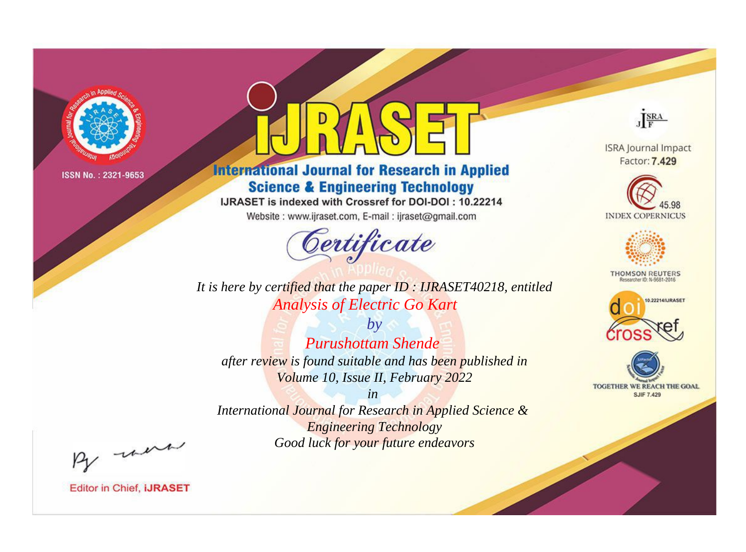

# **International Journal for Research in Applied Science & Engineering Technology**

IJRASET is indexed with Crossref for DOI-DOI: 10.22214

Website: www.ijraset.com, E-mail: ijraset@gmail.com



JERA

**ISRA Journal Impact** Factor: 7.429





**THOMSON REUTERS** 



TOGETHER WE REACH THE GOAL **SJIF 7.429** 

It is here by certified that the paper ID: IJRASET40218, entitled **Analysis of Electric Go Kart** 

 $b\nu$ **Purushottam Shende** after review is found suitable and has been published in Volume 10, Issue II, February 2022

 $in$ International Journal for Research in Applied Science & **Engineering Technology** Good luck for your future endeavors

By morn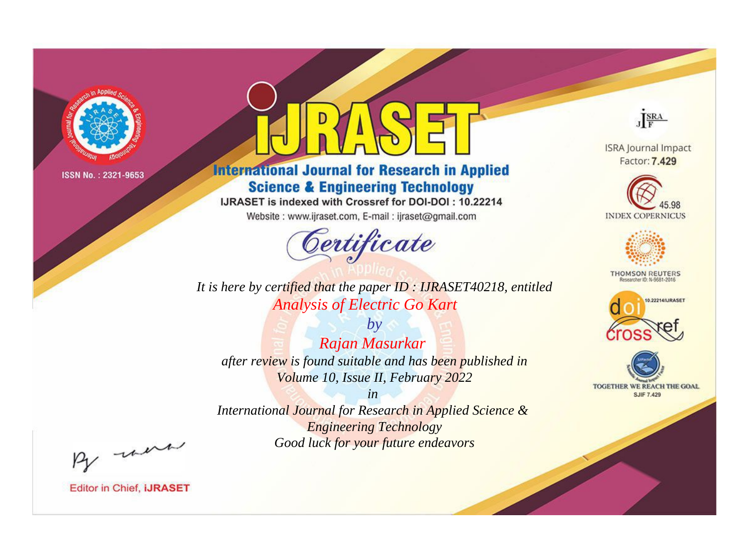

# **International Journal for Research in Applied Science & Engineering Technology**

IJRASET is indexed with Crossref for DOI-DOI: 10.22214

Website: www.ijraset.com, E-mail: ijraset@gmail.com



**ISRA Journal Impact** Factor: 7.429

JERA





**THOMSON REUTERS** 



TOGETHER WE REACH THE GOAL **SJIF 7.429** 

It is here by certified that the paper ID: IJRASET40218, entitled **Analysis of Electric Go Kart** 

 $by$ Rajan Masurkar after review is found suitable and has been published in Volume 10, Issue II, February 2022

 $in$ International Journal for Research in Applied Science & **Engineering Technology** Good luck for your future endeavors

By morn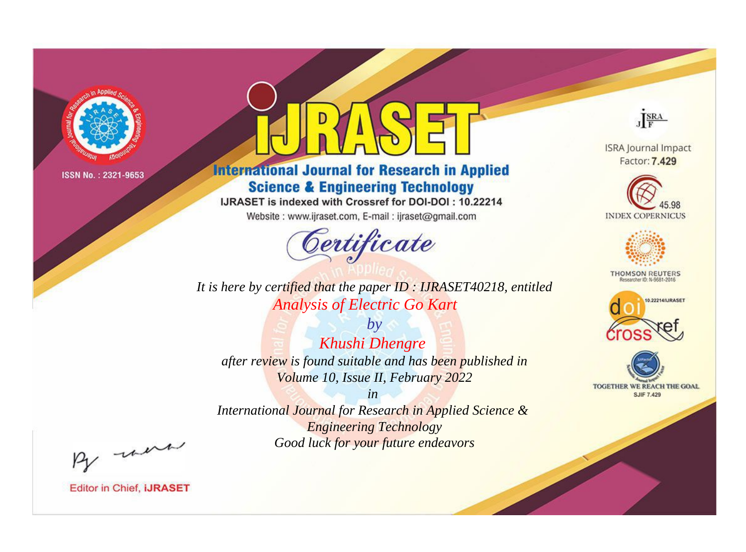

# **International Journal for Research in Applied Science & Engineering Technology**

IJRASET is indexed with Crossref for DOI-DOI: 10.22214

Website: www.ijraset.com, E-mail: ijraset@gmail.com



**ISRA Journal Impact** Factor: 7.429

JERA





**THOMSON REUTERS** 



TOGETHER WE REACH THE GOAL **SJIF 7.429** 

It is here by certified that the paper ID: IJRASET40218, entitled **Analysis of Electric Go Kart** 

 $by$ Khushi Dhengre after review is found suitable and has been published in Volume 10, Issue II, February 2022

 $in$ International Journal for Research in Applied Science & **Engineering Technology** Good luck for your future endeavors

By morn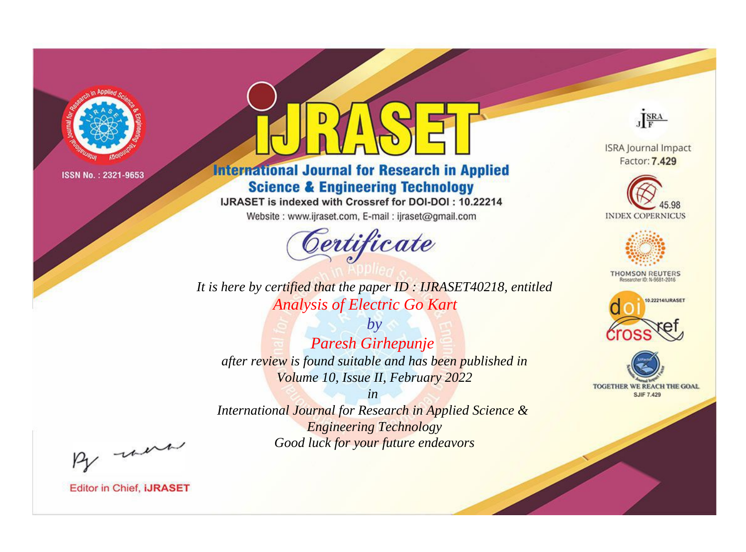

# **International Journal for Research in Applied Science & Engineering Technology**

IJRASET is indexed with Crossref for DOI-DOI: 10.22214

Website: www.ijraset.com, E-mail: ijraset@gmail.com



JERA

**ISRA Journal Impact** Factor: 7.429





**THOMSON REUTERS** 



TOGETHER WE REACH THE GOAL **SJIF 7.429** 

It is here by certified that the paper ID: IJRASET40218, entitled **Analysis of Electric Go Kart** 

 $by$ Paresh Girhepunje after review is found suitable and has been published in Volume 10, Issue II, February 2022

 $in$ International Journal for Research in Applied Science & **Engineering Technology** Good luck for your future endeavors

By morn